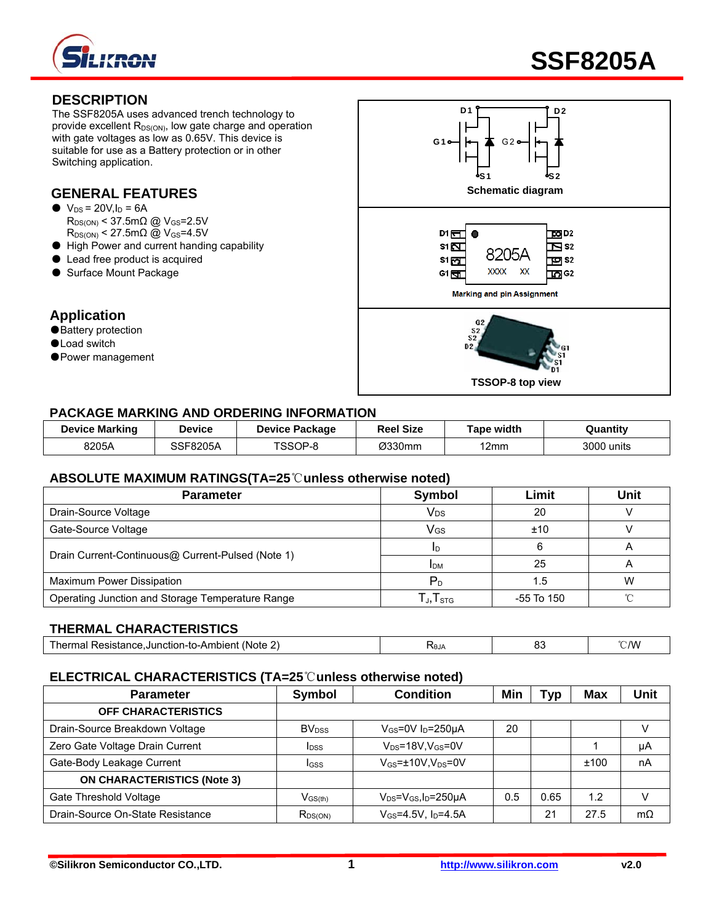



## **DESCRIPTION**

The SSF8205A uses advanced trench technology to provide excellent  $R_{DS(ON)}$ , low gate charge and operation with gate voltages as low as 0.65V. This device is suitable for use as a Battery protection or in other Switching application.

### **GENERAL FEATURES**

- $\bullet$  V<sub>DS</sub> = 20V, I<sub>D</sub> = 6A  $R_{DS(ON)}$  < 37.5m $\Omega$  @ V<sub>GS</sub>=2.5V  $R_{DS(ON)}$  < 27.5m $\Omega$  @ V<sub>GS</sub>=4.5V
- High Power and current handing capability
- Lead free product is acquired
- Surface Mount Package

## **Application**

- ●Battery protection
- ●Load switch
- ●Power management



### **PACKAGE MARKING AND ORDERING INFORMATION**

| <b>Device Marking</b> | Device   | <b>Device Package</b> | <b>Reel Size</b> | Tape width | Quantity   |
|-----------------------|----------|-----------------------|------------------|------------|------------|
| 8205A                 | SSF8205A | TSSOP-8               | Ø330mm           | !2mm       | 3000 units |

#### **ABSOLUTE MAXIMUM RATINGS(TA=25**℃**unless otherwise noted)**

| <b>Parameter</b>                                  | Symbol                                          | Limit        | <b>Unit</b> |
|---------------------------------------------------|-------------------------------------------------|--------------|-------------|
| Drain-Source Voltage                              | <b>V<sub>DS</sub></b>                           | 20           |             |
| Gate-Source Voltage                               | $V$ <sub>GS</sub>                               | ±10          |             |
| Drain Current-Continuous@ Current-Pulsed (Note 1) | ID                                              |              | A           |
|                                                   | <b>IDM</b>                                      | 25           |             |
| <b>Maximum Power Dissipation</b>                  | $P_{\rm D}$                                     | 1.5          | W           |
| Operating Junction and Storage Temperature Range  | Гј, ${\mathsf T}_{\operatorname{s\mathsf{TG}}}$ | $-55$ To 150 |             |

#### **THERMAL CHARACTERISTICS**

| therma <sub>r</sub><br>Resistance.Junction-to-Ambient<br>(Note | ¶θZ | ◡ | $\cap$ MV<br>$\sim\,$ . |
|----------------------------------------------------------------|-----|---|-------------------------|
|----------------------------------------------------------------|-----|---|-------------------------|

#### **ELECTRICAL CHARACTERISTICS (TA=25**℃**unless otherwise noted)**

| <b>Parameter</b>                   | Symbol                   | <b>Condition</b>                         | Min | Typ  | <b>Max</b> | <b>Unit</b> |
|------------------------------------|--------------------------|------------------------------------------|-----|------|------------|-------------|
| <b>OFF CHARACTERISTICS</b>         |                          |                                          |     |      |            |             |
| Drain-Source Breakdown Voltage     | <b>BV</b> <sub>DSS</sub> | $V_{GS}$ =0V I <sub>D</sub> =250µA       | 20  |      |            | v           |
| Zero Gate Voltage Drain Current    | <b>I</b> <sub>DSS</sub>  | $V_{DS} = 18V$ , $V_{GS} = 0V$           |     |      |            | μA          |
| Gate-Body Leakage Current          | Igss                     | $V_{GS}$ = $\pm$ 10V,V <sub>DS</sub> =0V |     |      | ±100       | nA          |
| <b>ON CHARACTERISTICS (Note 3)</b> |                          |                                          |     |      |            |             |
| Gate Threshold Voltage             | $V_{GS(th)}$             | $V_{DS} = V_{GS}I_D = 250 \mu A$         | 0.5 | 0.65 | 1.2        |             |
| Drain-Source On-State Resistance   | $R_{DS(ON)}$             | $V_{GS} = 4.5V$ , $I_D = 4.5A$           |     | 21   | 27.5       | $m\Omega$   |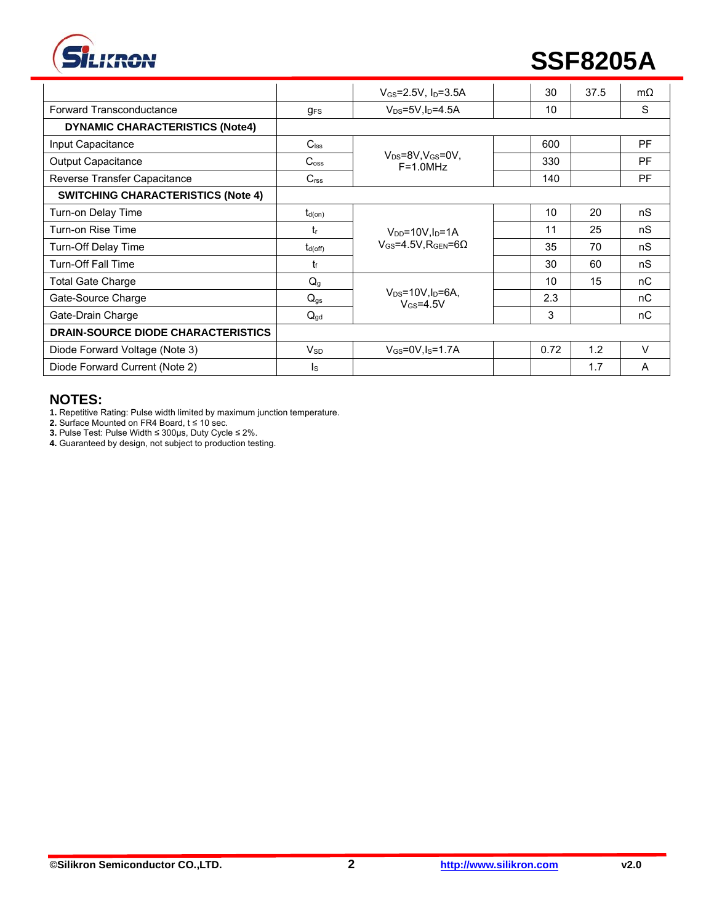

# **SSF8205A**

|                                           |                  | $V_{GS} = 2.5V$ , $I_D = 3.5A$                           | 30   | 37.5 | $m\Omega$ |
|-------------------------------------------|------------------|----------------------------------------------------------|------|------|-----------|
| Forward Transconductance                  | $g_{FS}$         | $V_{DS} = 5V I_D = 4.5A$                                 | 10   |      | S         |
| <b>DYNAMIC CHARACTERISTICS (Note4)</b>    |                  |                                                          |      |      |           |
| Input Capacitance                         | $C_{\text{lss}}$ |                                                          | 600  |      | PF        |
| <b>Output Capacitance</b>                 | C <sub>oss</sub> | $V_{DS} = 8V, V_{GS} = 0V,$<br>$F = 1.0 MHz$             | 330  |      | PF        |
| Reverse Transfer Capacitance              | C <sub>rss</sub> |                                                          | 140  |      | PF        |
| <b>SWITCHING CHARACTERISTICS (Note 4)</b> |                  |                                                          |      |      |           |
| Turn-on Delay Time                        | $t_{d(on)}$      | $V_{DD} = 10V$ , $I_D = 1A$<br>$V_{GS} = 4.5V$ , RGEN=60 | 10   | 20   | nS        |
| Turn-on Rise Time                         | tr               |                                                          | 11   | 25   | nS        |
| Turn-Off Delay Time                       | $t_{d(off)}$     |                                                          | 35   | 70   | nS        |
| <b>Turn-Off Fall Time</b>                 | t                |                                                          | 30   | 60   | nS        |
| <b>Total Gate Charge</b>                  | $Q_{g}$          | $V_{DS}$ =10V, $I_D$ =6A,<br>$V$ <sub>GS</sub> =4.5V     | 10   | 15   | nC        |
| Gate-Source Charge                        | $Q_{gs}$         |                                                          | 2.3  |      | nC        |
| Gate-Drain Charge                         | $Q_{\text{gd}}$  |                                                          | 3    |      | nC        |
| <b>DRAIN-SOURCE DIODE CHARACTERISTICS</b> |                  |                                                          |      |      |           |
| Diode Forward Voltage (Note 3)            | $V_{SD}$         | $V_{GS} = 0V, I_S = 1.7A$                                | 0.72 | 1.2  | v         |
| Diode Forward Current (Note 2)            | <sub>s</sub>     |                                                          |      | 1.7  | A         |

## **NOTES:**

**1.** Repetitive Rating: Pulse width limited by maximum junction temperature.

**2.** Surface Mounted on FR4 Board, t ≤ 10 sec.

**3.** Pulse Test: Pulse Width ≤ 300μs, Duty Cycle ≤ 2%.

**4.** Guaranteed by design, not subject to production testing.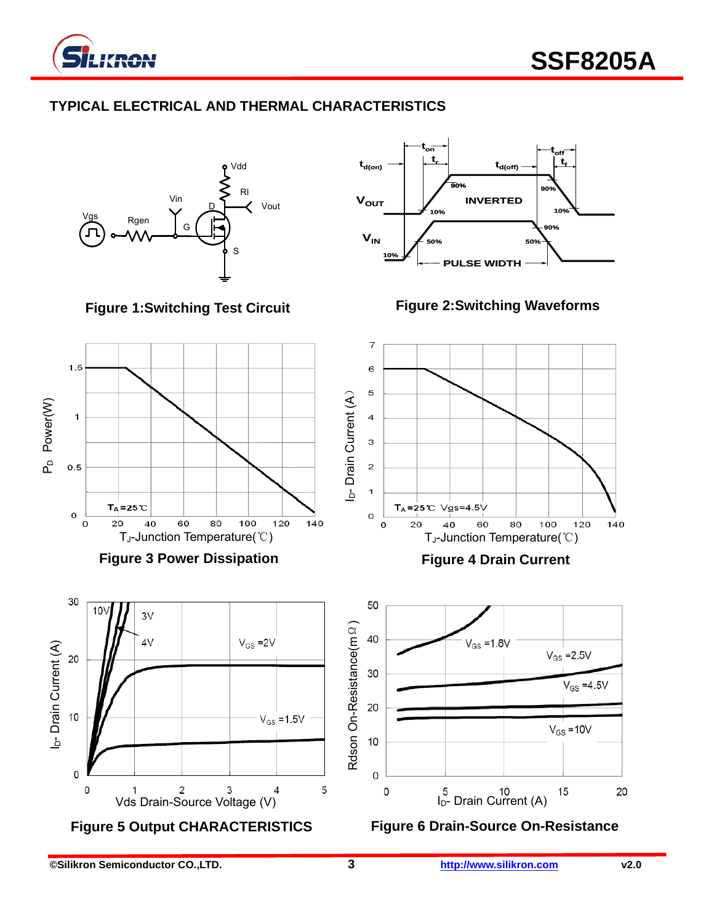

## **TYPICAL ELECTRICAL AND THERMAL CHARACTERISTICS**

Rgen Vin G Vdd Rl Vout S D

**Figure 1:Switching Test Circuit**

**V<sub>IN</sub>**  $V_{\text{OUT}}$ **10% 10% 50% 50% PULSE WIDTH INVERTED**  $\mathbf{t}_{\mathsf{d}(on)}$ **90% tr ton 90% 10% toff**  $t_{d(off)}$ **tf 90%**

**Figure 2:Switching Waveforms**



**Figure 5 Output CHARACTERISTICS**



**Figure 4 Drain Current**



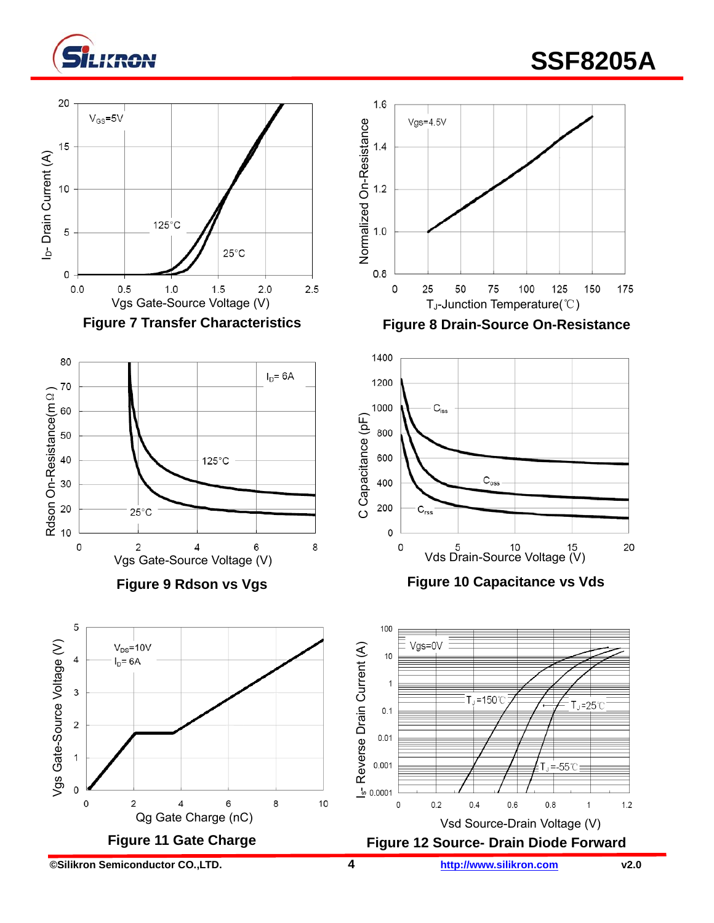

## **SSF8205A**

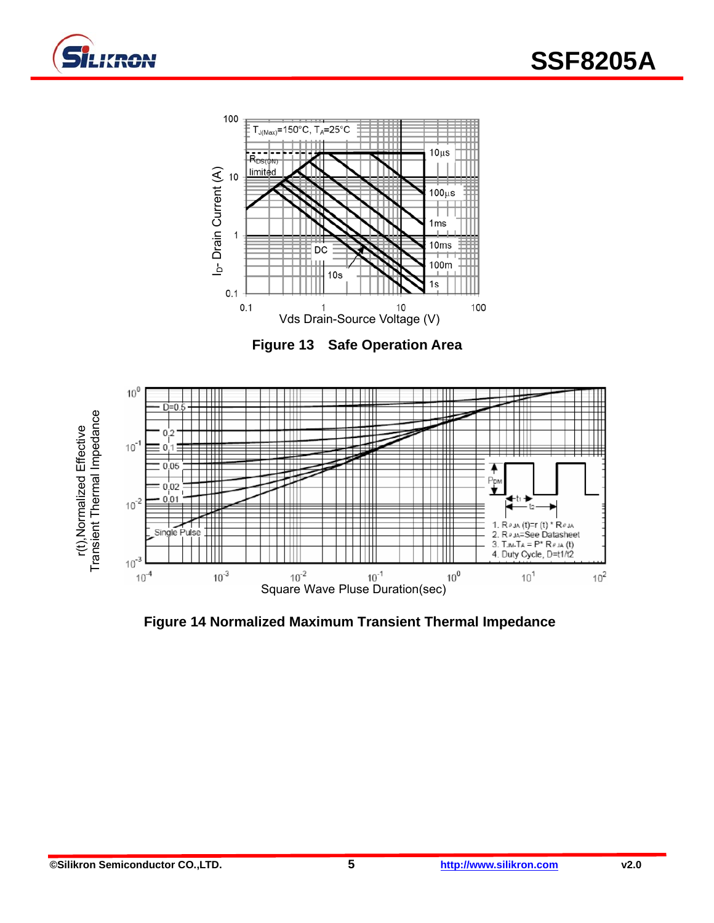





**Figure 13 Safe Operation Area**



**Figure 14 Normalized Maximum Transient Thermal Impedance**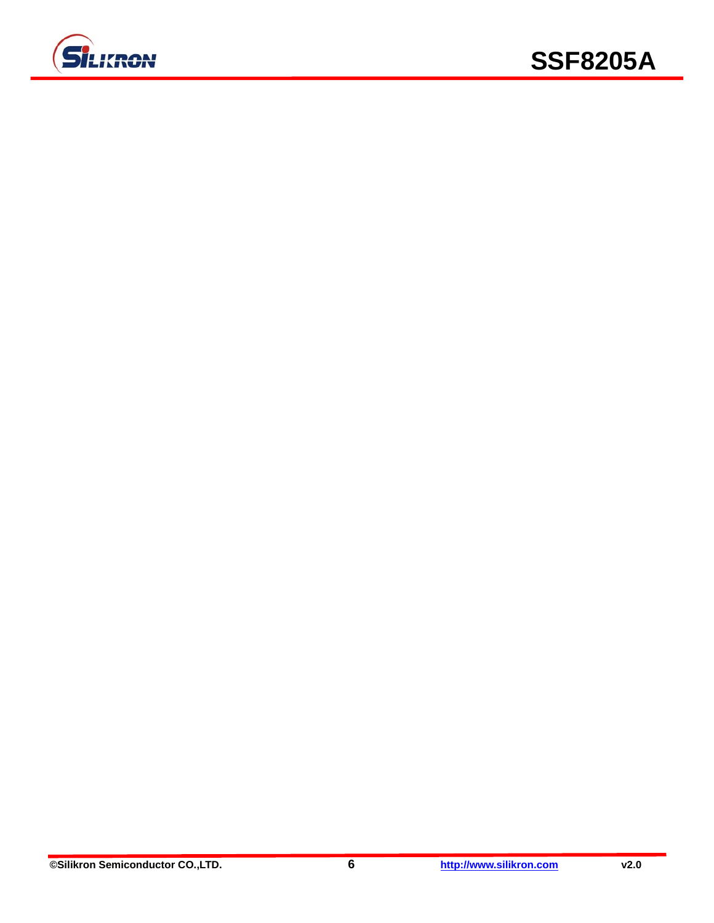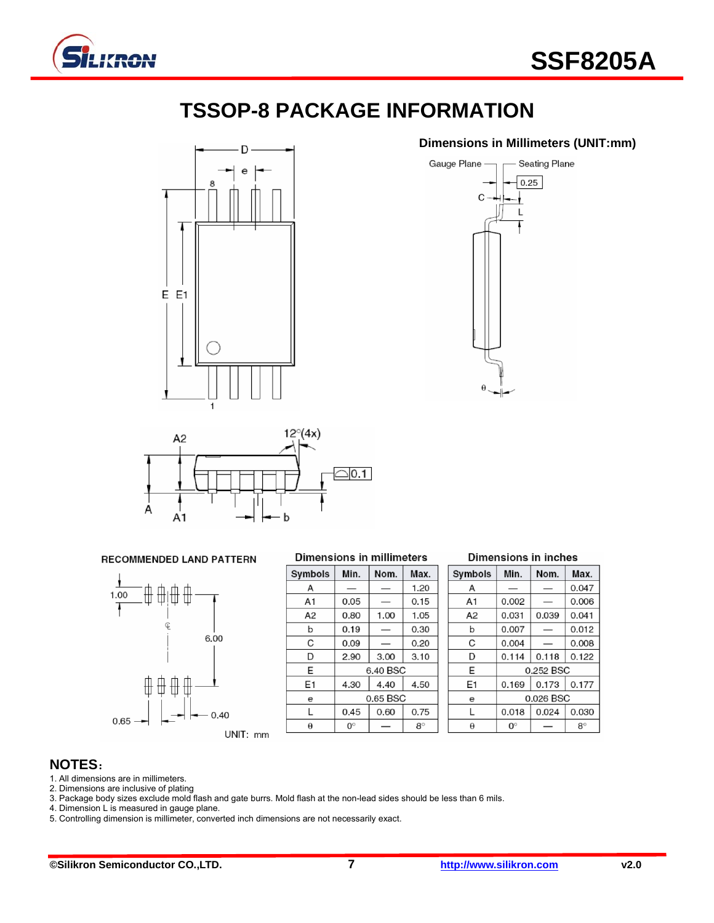

## **TSSOP-8 PACKAGE INFORMATION**



#### **Dimensions in Millimeters (UNIT:mm)**





#### RECOMMENDED LAND PATTERN



#### **Dimensions in millimeters**

| Symbols        | Min.<br>Nom. |      | Max.      |  |  |
|----------------|--------------|------|-----------|--|--|
| А              |              |      | 1.20      |  |  |
| A <sub>1</sub> | 0.05         |      | 0.15      |  |  |
| A <sub>2</sub> | 0.80         | 1.00 | 1.05      |  |  |
| b              | 0.19         |      | 0.30      |  |  |
| С              | 0.09         |      | 0.20      |  |  |
| D              | 2.90         | 3.00 | 3.10      |  |  |
| E              | 6.40 BSC     |      |           |  |  |
| E1             | 4.30         | 4.40 | 4.50      |  |  |
| е              | 0.65 BSC     |      |           |  |  |
| L              | 0.45         | 0.60 | 0.75      |  |  |
| θ              | $0^{\circ}$  |      | $8^\circ$ |  |  |

#### **Dimensions in inches**

| Symbols | Min.  | Nom.      | Max.  |  |
|---------|-------|-----------|-------|--|
| A       |       |           | 0.047 |  |
| A1      | 0.002 |           | 0.006 |  |
| A2      | 0.031 | 0.039     | 0.041 |  |
| b       | 0.007 |           | 0.012 |  |
| C       | 0.004 |           | 0.008 |  |
| D       | 0.114 | 0.118     | 0.122 |  |
| E       |       | 0.252 BSC |       |  |
| E1      | 0.169 | 0.173     | 0.177 |  |
| e       |       | 0.026 BSC |       |  |
| L       | 0.018 | 0.024     | 0.030 |  |
| θ       | Ω°    |           | 8°    |  |

## **NOTES**:

- 1. All dimensions are in millimeters.
- 2. Dimensions are inclusive of plating
- 3. Package body sizes exclude mold flash and gate burrs. Mold flash at the non-lead sides should be less than 6 mils.
- 4. Dimension L is measured in gauge plane.
- 5. Controlling dimension is millimeter, converted inch dimensions are not necessarily exact.